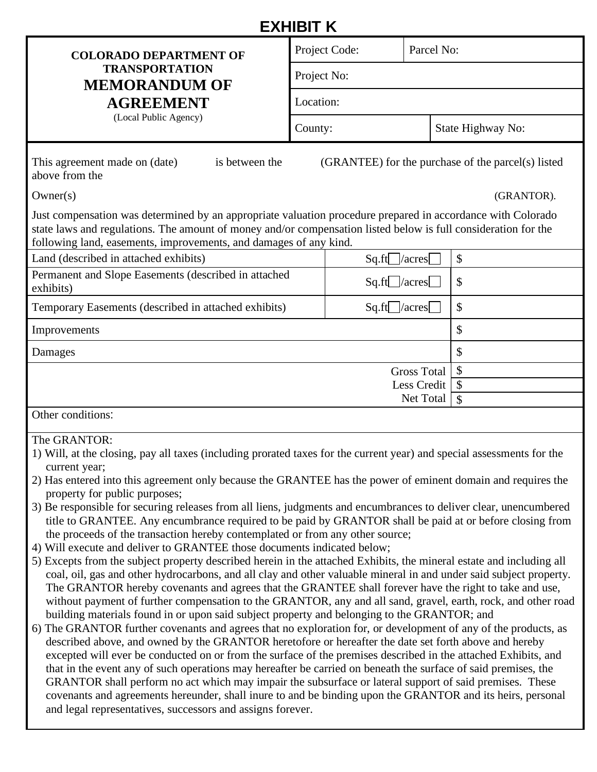## **EXHIBIT K**

| — / \ I I I I I I \                                                                                                                                                                                                                                                                                |                                                    |            |                   |  |  |  |  |
|----------------------------------------------------------------------------------------------------------------------------------------------------------------------------------------------------------------------------------------------------------------------------------------------------|----------------------------------------------------|------------|-------------------|--|--|--|--|
| <b>COLORADO DEPARTMENT OF</b>                                                                                                                                                                                                                                                                      | Project Code:                                      | Parcel No: |                   |  |  |  |  |
| <b>TRANSPORTATION</b><br><b>MEMORANDUM OF</b>                                                                                                                                                                                                                                                      | Project No:                                        |            |                   |  |  |  |  |
| <b>AGREEMENT</b>                                                                                                                                                                                                                                                                                   | Location:                                          |            |                   |  |  |  |  |
| (Local Public Agency)                                                                                                                                                                                                                                                                              | County:                                            |            | State Highway No: |  |  |  |  |
| This agreement made on (date)<br>is between the<br>above from the                                                                                                                                                                                                                                  | (GRANTEE) for the purchase of the parcel(s) listed |            |                   |  |  |  |  |
| Owner(s)                                                                                                                                                                                                                                                                                           |                                                    |            | (GRANTOR).        |  |  |  |  |
| Just compensation was determined by an appropriate valuation procedure prepared in accordance with Colorado<br>state laws and regulations. The amount of money and/or compensation listed below is full consideration for the<br>following land, easements, improvements, and damages of any kind. |                                                    |            |                   |  |  |  |  |

| Land (described in attached exhibits)                             | $Sq.fit$ /acres       | $\boldsymbol{\mathsf{S}}$ |
|-------------------------------------------------------------------|-----------------------|---------------------------|
| Permanent and Slope Easements (described in attached<br>exhibits) | $Sq.fit$ /acres       | $\boldsymbol{\mathsf{S}}$ |
| Temporary Easements (described in attached exhibits)              | $Sq.fit$  /acres      | $\boldsymbol{\mathsf{S}}$ |
| Improvements                                                      | \$                    |                           |
| Damages                                                           | \$                    |                           |
|                                                                   | - \$<br>Gross Total   |                           |
|                                                                   | Less Credit $\vert \$ |                           |
|                                                                   | Net Total             |                           |
| Other conditions:                                                 |                       |                           |

## The GRANTOR:

- 1) Will, at the closing, pay all taxes (including prorated taxes for the current year) and special assessments for the current year;
- 2) Has entered into this agreement only because the GRANTEE has the power of eminent domain and requires the property for public purposes;
- 3) Be responsible for securing releases from all liens, judgments and encumbrances to deliver clear, unencumbered title to GRANTEE. Any encumbrance required to be paid by GRANTOR shall be paid at or before closing from the proceeds of the transaction hereby contemplated or from any other source;
- 4) Will execute and deliver to GRANTEE those documents indicated below;
- 5) Excepts from the subject property described herein in the attached Exhibits, the mineral estate and including all coal, oil, gas and other hydrocarbons, and all clay and other valuable mineral in and under said subject property. The GRANTOR hereby covenants and agrees that the GRANTEE shall forever have the right to take and use, without payment of further compensation to the GRANTOR, any and all sand, gravel, earth, rock, and other road building materials found in or upon said subject property and belonging to the GRANTOR; and
- 6) The GRANTOR further covenants and agrees that no exploration for, or development of any of the products, as described above, and owned by the GRANTOR heretofore or hereafter the date set forth above and hereby excepted will ever be conducted on or from the surface of the premises described in the attached Exhibits, and that in the event any of such operations may hereafter be carried on beneath the surface of said premises, the GRANTOR shall perform no act which may impair the subsurface or lateral support of said premises. These covenants and agreements hereunder, shall inure to and be binding upon the GRANTOR and its heirs, personal and legal representatives, successors and assigns forever.